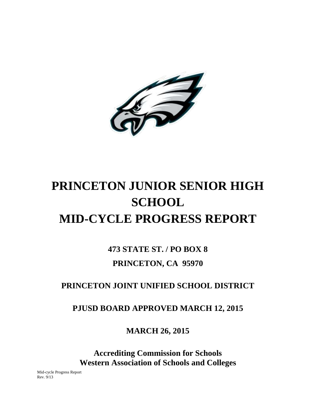

# **PRINCETON JUNIOR SENIOR HIGH SCHOOL MID-CYCLE PROGRESS REPORT**

**473 STATE ST. / PO BOX 8 PRINCETON, CA 95970**

# **PRINCETON JOINT UNIFIED SCHOOL DISTRICT**

**PJUSD BOARD APPROVED MARCH 12, 2015**

**MARCH 26, 2015**

**Accrediting Commission for Schools Western Association of Schools and Colleges**

Mid-cycle Progress Report Rev. 9/13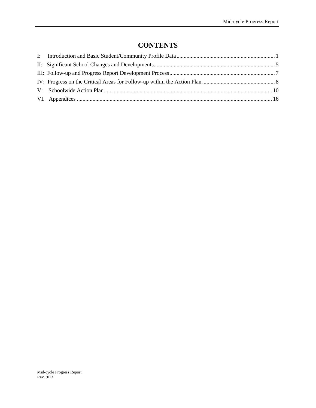# **CONTENTS**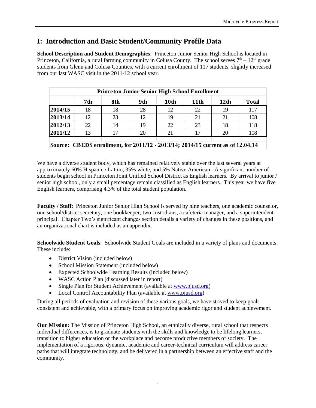# **I: Introduction and Basic Student/Community Profile Data**

**School Description and Student Demographics**: Princeton Junior Senior High School is located in Princeton, California, a rural farming community in Colusa County. The school serves  $7<sup>th</sup> - 12<sup>th</sup>$  grade students from Glenn and Colusa Counties, with a current enrollment of 117 students, slightly increased from our last WASC visit in the 2011-12 school year.

| <b>Princeton Junior Senior High School Enrollment</b> |                             |     |     |      |      |      |              |  |  |  |
|-------------------------------------------------------|-----------------------------|-----|-----|------|------|------|--------------|--|--|--|
|                                                       | 7th                         | 8th | 9th | 10th | 11th | 12th | <b>Total</b> |  |  |  |
| 2014/15                                               | 18                          | 18  | 28  | 12   | 22   | 19   | 117          |  |  |  |
| 2013/14                                               | 12                          | 23  | 12  | 19   | 21   | 21   | 108          |  |  |  |
| 2012/13                                               | 22                          |     | 19  | 22   | 23   | 18   | 118          |  |  |  |
| 2011/12                                               | 108<br>20<br>13<br>20<br>21 |     |     |      |      |      |              |  |  |  |
|                                                       |                             |     |     |      |      |      |              |  |  |  |

**Source: CBEDS enrollment, for 2011/12 - 2013/14; 2014/15 current as of 12.04.14**

We have a diverse student body, which has remained relatively stable over the last several years at approximately 60% Hispanic / Latino, 35% white, and 5% Native American. A significant number of students begin school in Princeton Joint Unified School District as English learners. By arrival to junior / senior high school, only a small percentage remain classified as English learners. This year we have five English learners, comprising 4.3% of the total student population.

**Faculty / Staff**: Princeton Junior Senior High School is served by nine teachers, one academic counselor, one school/district secretary, one bookkeeper, two custodians, a cafeteria manager, and a superintendentprincipal. Chapter Two's significant changes section details a variety of changes in these positions, and an organizational chart is included as an appendix.

**Schoolwide Student Goals**: Schoolwide Student Goals are included in a variety of plans and documents. These include:

- District Vision (included below)
- School Mission Statement (included below)
- Expected Schoolwide Learning Results (included below)
- WASC Action Plan (discussed later in report)
- Single Plan for Student Achievement (available at [www.pjusd.org\)](http://www.pjusd.org/)
- Local Control Accountability Plan (available at [www.pjusd.org\)](http://www.pjusd.org/)

During all periods of evaluation and revision of these various goals, we have strived to keep goals consistent and achievable, with a primary focus on improving academic rigor and student achievement.

**Our Mission:** The Mission of Princeton High School, an ethnically diverse, rural school that respects individual differences, is to graduate students with the skills and knowledge to be lifelong learners, transition to higher education or the workplace and become productive members of society. The implementation of a rigorous, dynamic, academic and career-technical curriculum will address career paths that will integrate technology, and be delivered in a partnership between an effective staff and the community.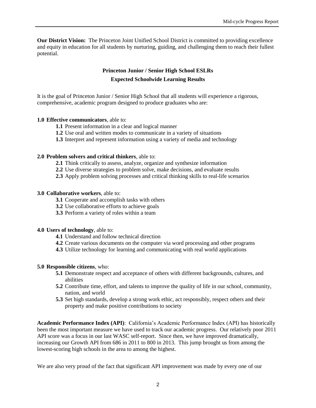**Our District Vision:** The Princeton Joint Unified School District is committed to providing excellence and equity in education for all students by nurturing, guiding, and challenging them to reach their fullest potential.

### **Princeton Junior / Senior High School ESLRs Expected Schoolwide Learning Results**

It is the goal of Princeton Junior / Senior High School that all students will experience a rigorous, comprehensive, academic program designed to produce graduates who are:

#### **1.0 Effective communicators**, able to:

- **1.1** Present information in a clear and logical manner
- **1.2** Use oral and written modes to communicate in a variety of situations
- **1.3** Interpret and represent information using a variety of media and technology

#### **2.0 Problem solvers and critical thinkers**, able to:

- **2.1** Think critically to assess, analyze, organize and synthesize information
- **2.2** Use diverse strategies to problem solve, make decisions, and evaluate results
- **2.3** Apply problem solving processes and critical thinking skills to real-life scenarios

#### **3.0 Collaborative workers**, able to:

- **3.1** Cooperate and accomplish tasks with others
- **3.2** Use collaborative efforts to achieve goals
- **3.3** Perform a variety of roles within a team

#### **4.0 Users of technology**, able to:

- **4.1** Understand and follow technical direction
- **4.2** Create various documents on the computer via word processing and other programs
- **4.3** Utilize technology for learning and communicating with real world applications

#### **5.0 Responsible citizens**, who:

- **5.1** Demonstrate respect and acceptance of others with different backgrounds, cultures, and abilities
- **5.2** Contribute time, effort, and talents to improve the quality of life in our school, community, nation, and world
- **5.3** Set high standards, develop a strong work ethic, act responsibly, respect others and their property and make positive contributions to society

**Academic Performance Index (API)**: California's Academic Performance Index (API) has historically been the most important measure we have used to track our academic progress. Our relatively poor 2011 API score was a focus in our last WASC self-report. Since then, we have improved dramatically, increasing our Growth API from 686 in 2011 to 800 in 2013. This jump brought us from among the lowest-scoring high schools in the area to among the highest.

We are also very proud of the fact that significant API improvement was made by every one of our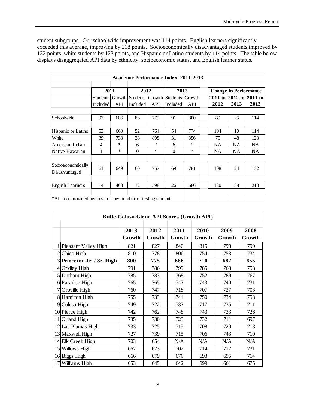student subgroups. Our schoolwide improvement was 114 points. English learners significantly exceeded this average, improving by 218 points. Socioeconomically disadvantaged students improved by 132 points, white students by 123 points, and Hispanic or Latino students by 114 points. The table below displays disaggregated API data by ethnicity, socioeconomic status, and English learner status.

|                                                             | Academic Performance Index: 2011-2013 |     |                                 |        |                 |        |  |           |                              |           |
|-------------------------------------------------------------|---------------------------------------|-----|---------------------------------|--------|-----------------|--------|--|-----------|------------------------------|-----------|
|                                                             |                                       |     |                                 |        |                 |        |  |           |                              |           |
|                                                             | 2011                                  |     | 2012                            |        | 2013            |        |  |           | <b>Change in Performance</b> |           |
|                                                             | Students                              |     | Growth Students Growth Students |        |                 | Growth |  |           | 2011 to 2012 to 2011 to      |           |
|                                                             | <b>Included</b>                       | API | Included                        | API    | <b>Included</b> | API    |  | 2012      | 2013                         | 2013      |
|                                                             |                                       |     |                                 |        |                 |        |  |           |                              |           |
| Schoolwide                                                  | 97                                    | 686 | 86                              | 775    | 91              | 800    |  | 89        | 25                           | 114       |
|                                                             |                                       |     |                                 |        |                 |        |  |           |                              |           |
| Hispanic or Latino                                          | 53                                    | 660 | 52                              | 764    | 54              | 774    |  | 104       | 10                           | 114       |
| White                                                       | 39                                    | 733 | 28                              | 808    | 31              | 856    |  | 75        | 48                           | 123       |
| American Indian                                             | 4                                     | *   | 6                               | ∗      | 6               | $\ast$ |  | <b>NA</b> | NA                           | NA.       |
| Native Hawaiian                                             | 1                                     | *   | $\theta$                        | $\ast$ | $\Omega$        | $\ast$ |  | NA        | NA                           | <b>NA</b> |
|                                                             |                                       |     |                                 |        |                 |        |  |           |                              |           |
| Socioeconomically<br>Disadvantaged                          | 61                                    | 649 | 60                              | 757    | 69              | 781    |  | 108       | 24                           | 132       |
|                                                             |                                       |     |                                 |        |                 |        |  |           |                              |           |
| <b>English Learners</b>                                     | 14                                    | 468 | 12                              | 598    | 26              | 686    |  | 130       | 88                           | 218       |
|                                                             |                                       |     |                                 |        |                 |        |  |           |                              |           |
| *API not provided because of low number of testing students |                                       |     |                                 |        |                 |        |  |           |                              |           |

| <b>Butte-Colusa-Glenn API Scores (Growth API)</b> |                |                |                |                |                |                |  |  |
|---------------------------------------------------|----------------|----------------|----------------|----------------|----------------|----------------|--|--|
|                                                   | 2013<br>Growth | 2012<br>Growth | 2011<br>Growth | 2010<br>Growth | 2009<br>Growth | 2008<br>Growth |  |  |
| 1 Pleasant Valley High                            | 821            | 827            | 840            | 815            | 798            | 790            |  |  |
| 2 Chico High                                      | 810            | 778            | 806            | 754            | 753            | 734            |  |  |
| 3 Princeton Jr. / Sr. High                        | 800            | 775            | 686            | 710            | 687            | 655            |  |  |
| 4 Gridley High                                    | 791            | 786            | 799            | 785            | 768            | 758            |  |  |
| 5 Durham High                                     | 785            | 783            | 768            | 752            | 789            | 767            |  |  |
| 6 Paradise High                                   | 765            | 765            | 747            | 743            | 740            | 731            |  |  |
| 7 Oroville High                                   | 760            | 747            | 718            | 707            | 727            | 703            |  |  |
| 8 Hamilton High                                   | 755            | 733            | 744            | 750            | 734            | 758            |  |  |
| 9 Colusa High                                     | 749            | 722            | 737            | 717            | 735            | 711            |  |  |
| 10 Pierce High                                    | 742            | 762            | 748            | 743            | 733            | 726            |  |  |
| 11 Orland High                                    | 735            | 730            | 723            | 732            | 711            | 697            |  |  |
| 12 Las Plumas High                                | 733            | 725            | 715            | 708            | 720            | 718            |  |  |
| 13 Maxwell High                                   | 727            | 739            | 715            | 706            | 743            | 710            |  |  |
| 14 Elk Creek High                                 | 703            | 654            | N/A            | N/A            | N/A            | N/A            |  |  |
| 15 Willows High                                   | 667            | 673            | 702            | 714            | 717            | 731            |  |  |
| 16 Biggs High                                     | 666            | 679            | 676            | 693            | 695            | 714            |  |  |
| 17 Williams High                                  | 653            | 645            | 642            | 699            | 661            | 675            |  |  |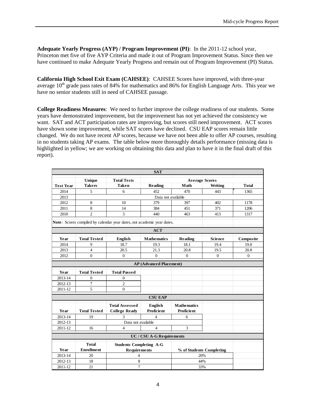**Adequate Yearly Progress (AYP) / Program Improvement (PI)**: In the 2011-12 school year, Princeton met five of five AYP Criteria and made it out of Program Improvement Status. Since then we have continued to make Adequate Yearly Progress and remain out of Program Improvement (PI) Status.

**California High School Exit Exam (CAHSEE)**: CAHSEE Scores have improved, with three-year average  $10<sup>th</sup>$  grade pass rates of 84% for mathematics and 86% for English Language Arts. This year we have no senior students still in need of CAHSEE passage.

**College Readiness Measures**: We need to further improve the college readiness of our students. Some years have demonstrated improvement, but the improvement has not yet achieved the consistency we want. SAT and ACT participation rates are improving, but scores still need improvement. ACT scores have shown some improvement, while SAT scores have declined. CSU EAP scores remain little changed. We do not have recent AP scores, because we have not been able to offer AP courses, resulting in no students taking AP exams. The table below more thoroughly details performance (missing data is highlighted in yellow; we are working on obtaining this data and plan to have it in the final draft of this report).

|                  |                     |                                                                        | <b>SAT</b>                     |                          |                |              |
|------------------|---------------------|------------------------------------------------------------------------|--------------------------------|--------------------------|----------------|--------------|
|                  | <b>Unique</b>       | <b>Total Tests</b>                                                     |                                | <b>Average Scores</b>    |                |              |
| <b>Test Year</b> | <b>Takers</b>       | <b>Taken</b>                                                           | Reading                        | Math                     | Writing        | <b>Total</b> |
| 2014             | 5                   | 6                                                                      | 452                            | 470                      | 443            | 1365         |
| 2013             |                     |                                                                        | Data not available             |                          |                |              |
| 2012             | 8                   | 10                                                                     | 379                            | 397                      | 402            | 1178         |
| 2011             | $\,8\,$             | 14                                                                     | 384                            | 451                      | 371            | 1206         |
| 2010             | $\overline{2}$      | 3                                                                      | 440                            | 463                      | 413            | 1317         |
|                  |                     | Note: Scores compiled by calendar year dates, not academic year dates. |                                |                          |                |              |
|                  |                     |                                                                        | <b>ACT</b>                     |                          |                |              |
| Year             | <b>Total Tested</b> | <b>English</b>                                                         | <b>Mathematics</b>             | Reading                  | <b>Science</b> | Composite    |
| 2014             | 9                   | 18.7                                                                   | 19.3                           | 18.1                     | 19.4           | 19.0         |
| 2013             | $\overline{4}$      | 20.5                                                                   | 21.3                           | 20.8                     | 19.5           | 20.8         |
| 2012             | $\overline{0}$      | $\Omega$                                                               | $\mathbf{0}$                   | $\Omega$                 | $\Omega$       | $\Omega$     |
|                  |                     |                                                                        | <b>AP</b> (Advanced Placement) |                          |                |              |
|                  |                     |                                                                        |                                |                          |                |              |
| Year             | <b>Total Tested</b> | <b>Total Passed</b>                                                    |                                |                          |                |              |
| 2013-14          | $\overline{0}$      | $\Omega$                                                               |                                |                          |                |              |
| 2012-13          | $\overline{7}$      | $\overline{c}$                                                         |                                |                          |                |              |
| 2011-12          | 5                   | $\mathbf{0}$                                                           |                                |                          |                |              |
|                  |                     |                                                                        | <b>CSU EAP</b>                 |                          |                |              |
|                  |                     | <b>Total Assessed</b>                                                  | <b>English</b>                 | <b>Mathematics</b>       |                |              |
| Year             | <b>Total Tested</b> | <b>College Ready</b>                                                   | <b>Proficient</b>              | <b>Proficient</b>        |                |              |
| 2013-14          | 19                  | 3                                                                      | $\overline{\mathbf{4}}$        | 6                        |                |              |
| 2012-13          |                     | Data not available                                                     |                                |                          |                |              |
| 2011-12          | 16                  | 4                                                                      | $\overline{4}$                 | 3                        |                |              |
|                  |                     |                                                                        | UC / CSU A-G Requirements      |                          |                |              |
|                  | <b>Total</b>        | <b>Students Completing A-G</b>                                         |                                |                          |                |              |
| Year             | <b>Enrollment</b>   | Requirements                                                           |                                | % of Students Completing |                |              |
| 2013-14          | 20                  | $\overline{4}$                                                         |                                | 20%                      |                |              |
| 2012-13          | 18                  | $\,$ 8 $\,$                                                            |                                | 44%                      |                |              |
| 2011-12          | 21                  | $\tau$                                                                 |                                | 33%                      |                |              |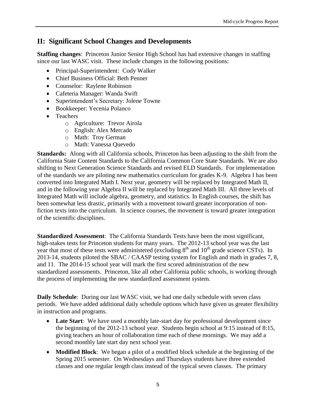## <span id="page-6-0"></span>**II: Significant School Changes and Developments**

**Staffing changes**: Princeton Junior Senior High School has had extensive changes in staffing since our last WASC visit. These include changes in the following positions:

- Principal-Superintendent: Cody Walker
- Chief Business Official: Beth Penner
- Counselor: Raylene Robinson
- Cafeteria Manager: Wanda Swift
- Superintendent's Secretary: Jolene Towne
- Bookkeeper: Yecenia Polanco
- Teachers
	- o Agriculture: Trevor Airola
	- o English: Alex Mercado
	- o Math: Troy German
	- o Math: Vanessa Quevedo

**Standards:** Along with all California schools, Princeton has been adjusting to the shift from the California State Content Standards to the California Common Core State Standards. We are also shifting to Next Generation Science Standards and revised ELD Standards. For implementation of the standards we are piloting new mathematics curriculum for grades K-9. Algebra I has been converted into Integrated Math I. Next year, geometry will be replaced by Integrated Math II, and in the following year Algebra II will be replaced by Integrated Math III. All three levels of Integrated Math will include algebra, geometry, and statistics. In English courses, the shift has been somewhat less drastic, primarily with a movement toward greater incorporation of nonfiction texts into the curriculum. In science courses, the movement is toward greater integration of the scientific disciplines.

**Standardized Assessment**: The California Standards Tests have been the most significant, high-stakes tests for Princeton students for many years. The 2012-13 school year was the last year that most of these tests were administered (excluding  $8<sup>th</sup>$  and  $10<sup>th</sup>$  grade science CSTs). In 2013-14, students piloted the SBAC / CAASP testing system for English and math in grades 7, 8, and 11. The 2014-15 school year will mark the first scored administration of the new standardized assessments. Princeton, like all other California public schools, is working through the process of implementing the new standardized assessment system.

**Daily Schedule**: During our last WASC visit, we had one daily schedule with seven class periods. We have added additional daily schedule options which have given us greater flexibility in instruction and programs.

- **Late Start**: We have used a monthly late-start day for professional development since the beginning of the 2012-13 school year. Students begin school at 9:15 instead of 8:15, giving teachers an hour of collaboration time each of these mornings. We may add a second monthly late start day next school year.
- **Modified Block**: We began a pilot of a modified block schedule at the beginning of the Spring 2015 semester. On Wednesdays and Thursdays students have three extended classes and one regular length class instead of the typical seven classes. The primary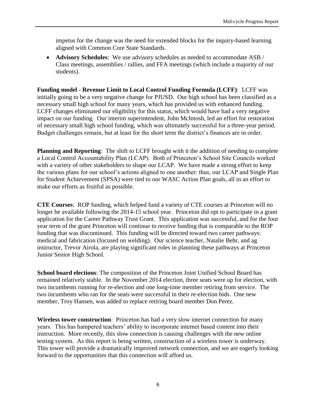impetus for the change was the need for extended blocks for the inquiry-based learning aligned with Common Core State Standards.

 **Advisory Schedules**: We use advisory schedules as needed to accommodate ASB / Class meetings, assemblies / rallies, and FFA meetings (which include a majority of our students).

**Funding model - Revenue Limit to Local Control Funding Formula (LCFF)**: LCFF was initially going to be a very negative change for PJUSD. Our high school has been classified as a necessary small high school for many years, which has provided us with enhanced funding. LCFF changes eliminated our eligibility for this status, which would have had a very negative impact on our funding. Our interim superintendent, John McIntosh, led an effort for restoration of necessary small high school funding, which was ultimately successful for a three-year period. Budget challenges remain, but at least for the short term the district's finances are in order.

**Planning and Reporting**: The shift to LCFF brought with it the addition of needing to complete a Local Control Accountability Plan (LCAP). Both of Princeton's School Site Councils worked with a variety of other stakeholders to shape our LCAP. We have made a strong effort to keep the various plans for our school's actions aligned to one another: thus, our LCAP and Single Plan for Student Achievement (SPSA) were tied to our WASC Action Plan goals, all in an effort to make our efforts as fruitful as possible.

**CTE Courses**: ROP funding, which helped fund a variety of CTE courses at Princeton will no longer be available following the 2014-15 school year. Princeton did opt to participate in a grant application for the Career Pathway Trust Grant. This application was successful, and for the four year term of the grant Princeton will continue to receive funding that is comparable to the ROP funding that was discontinued. This funding will be directed toward two career pathways: medical and fabrication (focused on welding). Our science teacher, Natalie Behr, and ag instructor, Trevor Airola, are playing significant roles in planning these pathways at Princeton Junior Senior High School.

**School board elections**: The composition of the Princeton Joint Unified School Board has remained relatively stable. In the November 2014 election, three seats were up for election, with two incumbents running for re-election and one long-time member retiring from service. The two incumbents who ran for the seats were successful in their re-election bids. One new member, Troy Hansen, was added to replace retiring board member Don Perez.

**Wireless tower construction**: Princeton has had a very slow internet connection for many years. This has hampered teachers' ability to incorporate internet based content into their instruction. More recently, this slow connection is causing challenges with the new online testing system. As this report is being written, construction of a wireless tower is underway. This tower will provide a dramatically improved network connection, and we are eagerly looking forward to the opportunities that this connection will afford us.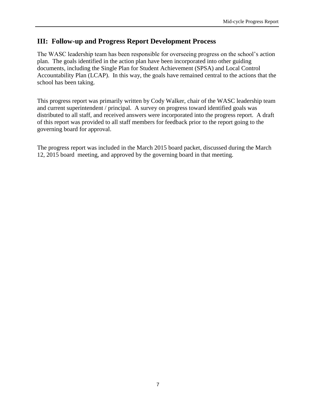## <span id="page-8-0"></span>**III: Follow-up and Progress Report Development Process**

The WASC leadership team has been responsible for overseeing progress on the school's action plan. The goals identified in the action plan have been incorporated into other guiding documents, including the Single Plan for Student Achievement (SPSA) and Local Control Accountability Plan (LCAP). In this way, the goals have remained central to the actions that the school has been taking.

This progress report was primarily written by Cody Walker, chair of the WASC leadership team and current superintendent / principal. A survey on progress toward identified goals was distributed to all staff, and received answers were incorporated into the progress report. A draft of this report was provided to all staff members for feedback prior to the report going to the governing board for approval.

The progress report was included in the March 2015 board packet, discussed during the March 12, 2015 board meeting, and approved by the governing board in that meeting.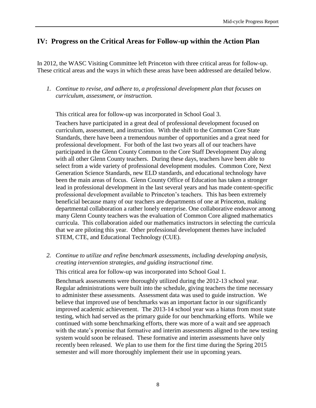# <span id="page-9-0"></span>**IV: Progress on the Critical Areas for Follow-up within the Action Plan**

In 2012, the WASC Visiting Committee left Princeton with three critical areas for follow-up. These critical areas and the ways in which these areas have been addressed are detailed below.

*1. Continue to revise, and adhere to, a professional development plan that focuses on curriculum, assessment, or instruction.*

This critical area for follow-up was incorporated in School Goal 3.

Teachers have participated in a great deal of professional development focused on curriculum, assessment, and instruction. With the shift to the Common Core State Standards, there have been a tremendous number of opportunities and a great need for professional development. For both of the last two years all of our teachers have participated in the Glenn County Common to the Core Staff Development Day along with all other Glenn County teachers. During these days, teachers have been able to select from a wide variety of professional development modules. Common Core, Next Generation Science Standards, new ELD standards, and educational technology have been the main areas of focus. Glenn County Office of Education has taken a stronger lead in professional development in the last several years and has made content-specific professional development available to Princeton's teachers. This has been extremely beneficial because many of our teachers are departments of one at Princeton, making departmental collaboration a rather lonely enterprise. One collaborative endeavor among many Glenn County teachers was the evaluation of Common Core aligned mathematics curricula. This collaboration aided our mathematics instructors in selecting the curricula that we are piloting this year. Other professional development themes have included STEM, CTE, and Educational Technology (CUE).

*2. Continue to utilize and refine benchmark assessments, including developing analysis, creating intervention strategies, and guiding instructional time.* 

This critical area for follow-up was incorporated into School Goal 1.

Benchmark assessments were thoroughly utilized during the 2012-13 school year. Regular administrations were built into the schedule, giving teachers the time necessary to administer these assessments. Assessment data was used to guide instruction. We believe that improved use of benchmarks was an important factor in our significantly improved academic achievement. The 2013-14 school year was a hiatus from most state testing, which had served as the primary guide for our benchmarking efforts. While we continued with some benchmarking efforts, there was more of a wait and see approach with the state's promise that formative and interim assessments aligned to the new testing system would soon be released. These formative and interim assessments have only recently been released. We plan to use them for the first time during the Spring 2015 semester and will more thoroughly implement their use in upcoming years.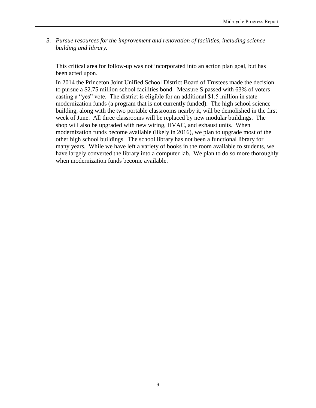*3. Pursue resources for the improvement and renovation of facilities, including science building and library.*

This critical area for follow-up was not incorporated into an action plan goal, but has been acted upon.

In 2014 the Princeton Joint Unified School District Board of Trustees made the decision to pursue a \$2.75 million school facilities bond. Measure S passed with 63% of voters casting a "yes" vote. The district is eligible for an additional \$1.5 million in state modernization funds (a program that is not currently funded). The high school science building, along with the two portable classrooms nearby it, will be demolished in the first week of June. All three classrooms will be replaced by new modular buildings. The shop will also be upgraded with new wiring, HVAC, and exhaust units. When modernization funds become available (likely in 2016), we plan to upgrade most of the other high school buildings. The school library has not been a functional library for many years. While we have left a variety of books in the room available to students, we have largely converted the library into a computer lab. We plan to do so more thoroughly when modernization funds become available.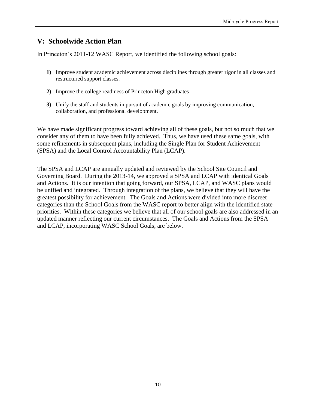# <span id="page-11-0"></span>**V: Schoolwide Action Plan**

In Princeton's 2011-12 WASC Report, we identified the following school goals:

- **1)** Improve student academic achievement across disciplines through greater rigor in all classes and restructured support classes.
- **2)** Improve the college readiness of Princeton High graduates
- **3)** Unify the staff and students in pursuit of academic goals by improving communication, collaboration, and professional development.

We have made significant progress toward achieving all of these goals, but not so much that we consider any of them to have been fully achieved. Thus, we have used these same goals, with some refinements in subsequent plans, including the Single Plan for Student Achievement (SPSA) and the Local Control Accountability Plan (LCAP).

The SPSA and LCAP are annually updated and reviewed by the School Site Council and Governing Board. During the 2013-14, we approved a SPSA and LCAP with identical Goals and Actions. It is our intention that going forward, our SPSA, LCAP, and WASC plans would be unified and integrated. Through integration of the plans, we believe that they will have the greatest possibility for achievement. The Goals and Actions were divided into more discreet categories than the School Goals from the WASC report to better align with the identified state priorities. Within these categories we believe that all of our school goals are also addressed in an updated manner reflecting our current circumstances. The Goals and Actions from the SPSA and LCAP, incorporating WASC School Goals, are below.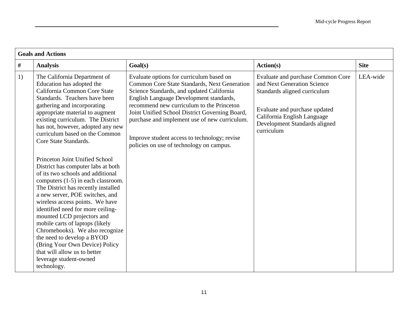|      | <b>Goals and Actions</b>                                                                                                                                                                                                                                                                                                                                                                                                                                                                                                                                                                                                                                                                                                                                                                                                                                                            |                                                                                                                                                                                                                                                                                                                                                                                                                              |                                                                                                                                                                                                                 |             |
|------|-------------------------------------------------------------------------------------------------------------------------------------------------------------------------------------------------------------------------------------------------------------------------------------------------------------------------------------------------------------------------------------------------------------------------------------------------------------------------------------------------------------------------------------------------------------------------------------------------------------------------------------------------------------------------------------------------------------------------------------------------------------------------------------------------------------------------------------------------------------------------------------|------------------------------------------------------------------------------------------------------------------------------------------------------------------------------------------------------------------------------------------------------------------------------------------------------------------------------------------------------------------------------------------------------------------------------|-----------------------------------------------------------------------------------------------------------------------------------------------------------------------------------------------------------------|-------------|
| $\#$ | <b>Analysis</b>                                                                                                                                                                                                                                                                                                                                                                                                                                                                                                                                                                                                                                                                                                                                                                                                                                                                     | Goal(s)                                                                                                                                                                                                                                                                                                                                                                                                                      | Action(s)                                                                                                                                                                                                       | <b>Site</b> |
| 1)   | The California Department of<br>Education has adopted the<br>California Common Core State<br>Standards. Teachers have been<br>gathering and incorporating<br>appropriate material to augment<br>existing curriculum. The District<br>has not, however, adopted any new<br>curriculum based on the Common<br>Core State Standards.<br>Princeton Joint Unified School<br>District has computer labs at both<br>of its two schools and additional<br>computers (1-5) in each classroom.<br>The District has recently installed<br>a new server, POE switches, and<br>wireless access points. We have<br>identified need for more ceiling-<br>mounted LCD projectors and<br>mobile carts of laptops (likely<br>Chromebooks). We also recognize<br>the need to develop a BYOD<br>(Bring Your Own Device) Policy<br>that will allow us to better<br>leverage student-owned<br>technology. | Evaluate options for curriculum based on<br>Common Core State Standards, Next Generation<br>Science Standards, and updated California<br>English Language Development standards,<br>recommend new curriculum to the Princeton<br>Joint Unified School District Governing Board,<br>purchase and implement use of new curriculum.<br>Improve student access to technology; revise<br>policies on use of technology on campus. | Evaluate and purchase Common Core<br>and Next Generation Science<br>Standards aligned curriculum<br>Evaluate and purchase updated<br>California English Language<br>Development Standards aligned<br>curriculum | LEA-wide    |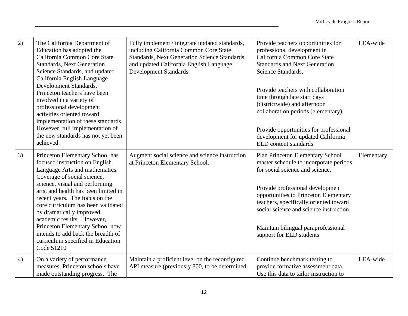| 2) | The California Department of<br>Education has adopted the<br>California Common Core State<br><b>Standards, Next Generation</b><br>Science Standards, and updated<br>California English Language<br>Development Standards.<br>Princeton teachers have been<br>involved in a variety of<br>professional development<br>activities oriented toward<br>implementation of these standards.<br>However, full implementation of<br>the new standards has not yet been<br>achieved. | Fully implement / integrate updated standards,<br>including California Common Core State<br>Standards, Next Generation Science Standards,<br>and updated California English Language<br>Development Standards. | Provide teachers opportunities for<br>professional development in<br>California Common Core State<br><b>Standards and Next Generation</b><br>Science Standards.<br>Provide teachers with collaboration<br>time through late start days<br>(districtwide) and afternoon<br>collaboration periods (elementary).<br>Provide opportunities for professional<br>development for updated California<br>ELD content standards | LEA-wide   |
|----|-----------------------------------------------------------------------------------------------------------------------------------------------------------------------------------------------------------------------------------------------------------------------------------------------------------------------------------------------------------------------------------------------------------------------------------------------------------------------------|----------------------------------------------------------------------------------------------------------------------------------------------------------------------------------------------------------------|------------------------------------------------------------------------------------------------------------------------------------------------------------------------------------------------------------------------------------------------------------------------------------------------------------------------------------------------------------------------------------------------------------------------|------------|
| 3) | Princeton Elementary School has<br>focused instruction on English<br>Language Arts and mathematics.<br>Coverage of social science,<br>science, visual and performing<br>arts, and health has been limited in<br>recent years. The focus on the<br>core curriculum has been validated<br>by dramatically improved<br>academic results. However,<br>Princeton Elementary School now<br>intends to add back the breadth of<br>curriculum specified in Education<br>Code 51210  | Augment social science and science instruction<br>at Princeton Elementary School.                                                                                                                              | Plan Princeton Elementary School<br>master schedule to incorporate periods<br>for social science and science.<br>Provide professional development<br>opportunities to Princeton Elementary<br>teachers, specifically oriented toward<br>social science and science instruction.<br>Maintain bilingual paraprofessional<br>support for ELD students                                                                     | Elementary |
| 4) | On a variety of performance<br>measures, Princeton schools have<br>made outstanding progress. The                                                                                                                                                                                                                                                                                                                                                                           | Maintain a proficient level on the reconfigured<br>API measure (previously 800, to be determined                                                                                                               | Continue benchmark testing to<br>provide formative assessment data.<br>Use this data to tailor instruction to                                                                                                                                                                                                                                                                                                          | LEA-wide   |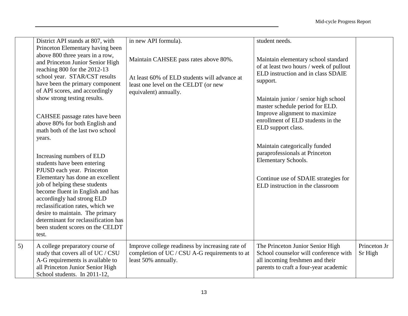|    | District API stands at 807, with<br>Princeton Elementary having been<br>above 800 three years in a row,<br>and Princeton Junior Senior High<br>reaching 800 for the 2012-13<br>school year. STAR/CST results<br>have been the primary component<br>of API scores, and accordingly<br>show strong testing results.<br>CAHSEE passage rates have been<br>above 80% for both English and<br>math both of the last two school<br>years.<br>Increasing numbers of ELD<br>students have been entering<br>PJUSD each year. Princeton<br>Elementary has done an excellent<br>job of helping these students<br>become fluent in English and has<br>accordingly had strong ELD<br>reclassification rates, which we<br>desire to maintain. The primary<br>determinant for reclassification has<br>been student scores on the CELDT<br>test. | in new API formula).<br>Maintain CAHSEE pass rates above 80%.<br>At least 60% of ELD students will advance at<br>least one level on the CELDT (or new<br>equivalent) annually. | student needs.<br>Maintain elementary school standard<br>of at least two hours / week of pullout<br>ELD instruction and in class SDAIE<br>support.<br>Maintain junior / senior high school<br>master schedule period for ELD.<br>Improve alignment to maximize<br>enrollment of ELD students in the<br>ELD support class.<br>Maintain categorically funded<br>paraprofessionals at Princeton<br>Elementary Schools.<br>Continue use of SDAIE strategies for<br>ELD instruction in the classroom |                         |
|----|----------------------------------------------------------------------------------------------------------------------------------------------------------------------------------------------------------------------------------------------------------------------------------------------------------------------------------------------------------------------------------------------------------------------------------------------------------------------------------------------------------------------------------------------------------------------------------------------------------------------------------------------------------------------------------------------------------------------------------------------------------------------------------------------------------------------------------|--------------------------------------------------------------------------------------------------------------------------------------------------------------------------------|-------------------------------------------------------------------------------------------------------------------------------------------------------------------------------------------------------------------------------------------------------------------------------------------------------------------------------------------------------------------------------------------------------------------------------------------------------------------------------------------------|-------------------------|
| 5) | A college preparatory course of<br>study that covers all of UC / CSU<br>A-G requirements is available to<br>all Princeton Junior Senior High<br>School students. In 2011-12,                                                                                                                                                                                                                                                                                                                                                                                                                                                                                                                                                                                                                                                     | Improve college readiness by increasing rate of<br>completion of UC / CSU A-G requirements to at<br>least 50% annually.                                                        | The Princeton Junior Senior High<br>School counselor will conference with<br>all incoming freshmen and their<br>parents to craft a four-year academic                                                                                                                                                                                                                                                                                                                                           | Princeton Jr<br>Sr High |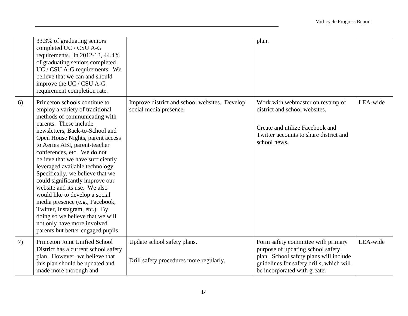|    | 33.3% of graduating seniors<br>completed UC / CSU A-G<br>requirements. In 2012-13, 44.4%<br>of graduating seniors completed<br>UC / CSU A-G requirements. We<br>believe that we can and should<br>improve the UC / CSU A-G<br>requirement completion rate.                                                                                                                                                                                                                                                                                                                                                                                                       |                                                                         | plan.                                                                                                                                                                                         |          |
|----|------------------------------------------------------------------------------------------------------------------------------------------------------------------------------------------------------------------------------------------------------------------------------------------------------------------------------------------------------------------------------------------------------------------------------------------------------------------------------------------------------------------------------------------------------------------------------------------------------------------------------------------------------------------|-------------------------------------------------------------------------|-----------------------------------------------------------------------------------------------------------------------------------------------------------------------------------------------|----------|
| 6) | Princeton schools continue to<br>employ a variety of traditional<br>methods of communicating with<br>parents. These include<br>newsletters, Back-to-School and<br>Open House Nights, parent access<br>to Aeries ABI, parent-teacher<br>conferences, etc. We do not<br>believe that we have sufficiently<br>leveraged available technology.<br>Specifically, we believe that we<br>could significantly improve our<br>website and its use. We also<br>would like to develop a social<br>media presence (e.g., Facebook,<br>Twitter, Instagram, etc.). By<br>doing so we believe that we will<br>not only have more involved<br>parents but better engaged pupils. | Improve district and school websites. Develop<br>social media presence. | Work with webmaster on revamp of<br>district and school websites.<br>Create and utilize Facebook and<br>Twitter accounts to share district and<br>school news.                                | LEA-wide |
| 7) | Princeton Joint Unified School<br>District has a current school safety<br>plan. However, we believe that<br>this plan should be updated and<br>made more thorough and                                                                                                                                                                                                                                                                                                                                                                                                                                                                                            | Update school safety plans.<br>Drill safety procedures more regularly.  | Form safety committee with primary<br>purpose of updating school safety<br>plan. School safety plans will include<br>guidelines for safety drills, which will<br>be incorporated with greater | LEA-wide |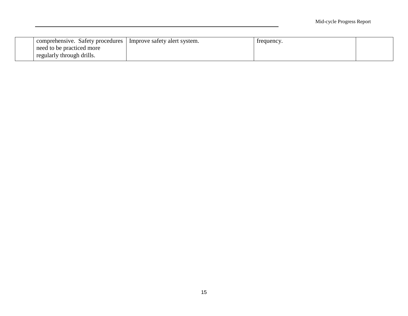| comprehensive. Safety procedures   Improve safety alert system. | frequency. |  |
|-----------------------------------------------------------------|------------|--|
| need to be practiced more                                       |            |  |
| regularly through drills.                                       |            |  |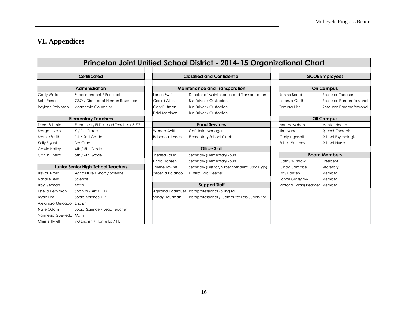# **VI. Appendices**

<span id="page-17-0"></span>

|                       |                                           |                       | Princeton Joint Unified School District - 2014-15 Organizational Chart |                         |                           |
|-----------------------|-------------------------------------------|-----------------------|------------------------------------------------------------------------|-------------------------|---------------------------|
|                       |                                           |                       |                                                                        |                         |                           |
|                       | Certificated                              |                       | <b>Classified and Confidential</b>                                     |                         | <b>GCOE Employees</b>     |
|                       |                                           |                       |                                                                        |                         |                           |
|                       | <b>Administration</b>                     |                       | <b>Maintenance and Transporation</b>                                   |                         | <b>On Campus</b>          |
| Cody Walker           | Superintendent / Principal                | Lance Swift           | Director of Maintenance and Transportation                             | Janine Beard            | Resource Teacher          |
| <b>Beth Penner</b>    | CBO / Director of Human Resources         | Gerald Allen          | <b>Bus Driver / Custodian</b>                                          | Lorenzo Garth           | Resource Paraprofessional |
| Raylene Robinson      | Academic Counselor                        | Gary Putman           | Bus Driver / Custodian                                                 | <b>Tamara Hitt</b>      | Resource Paraprofessional |
|                       |                                           | <b>Fidel Martinez</b> | <b>Bus Driver / Custodian</b>                                          |                         |                           |
|                       | <b>Elementary Teachers</b>                |                       |                                                                        |                         | <b>Off Campus</b>         |
| Dena Schmidt          | Elementary ELD / Lead Teacher (.5 FTE)    |                       | <b>Food Services</b>                                                   | Ann McMahon             | Mental Health             |
| Morgan Iversen        | K / 1st Grade                             | Wanda Swift           | Cafeteria Manager                                                      | Jim Napoli              | Speech Therapist          |
| Marnie Smith          | 1st / 2nd Grade                           | Rebecca Jensen        | <b>Elementary School Cook</b>                                          | Carly Ingersoll         | School Psychologist       |
| Kelly Bryant          | 3rd Grade                                 |                       |                                                                        | Zuheit Whitney          | <b>School Nurse</b>       |
| <b>Cassie Halley</b>  | 4th / 5th Grade                           |                       | <b>Office Staff</b>                                                    |                         |                           |
| <b>Caitlin Phelps</b> | 5th / 6th Grade                           | Theresa Zoller        | Secretary (Elementary - 50%)                                           |                         | <b>Board Members</b>      |
|                       |                                           | Linda Hansen          | Secretary (Elementary - 50%)                                           | Cathy Withrow           | President                 |
|                       | <b>Junior Senior High School Teachers</b> | Jolene Towne          | Secretary (District, Superintendent, Jr/Sr High)                       | Cindy Campbell          | Secretary                 |
| Trevor Airola         | Agriculture / Shop / Science              | Yecenia Polanco       | District Bookkeeper                                                    | <b>Troy Hansen</b>      | Member                    |
| Natalie Behr          | Science                                   |                       |                                                                        | Lance Glassgow          | Member                    |
| <b>Troy German</b>    | Math                                      |                       | <b>Support Staff</b>                                                   | Victoria (Vicki) Reamer | Member                    |
| Estella Herniman      | Spanish / Art / ELD                       |                       | Agripina Rodriguez Paraprofessional (bilingual)                        |                         |                           |
| <b>Bryan Lex</b>      | Social Science / PE                       | Sandy Houtman         | Paraprofessional / Computer Lab Supervisor                             |                         |                           |
| Alejandro Mercado     | English                                   |                       |                                                                        |                         |                           |
| Nate Odom             | Social Science / Lead Teacher             |                       |                                                                        |                         |                           |
| Vannessa Quevedo      | Math                                      |                       |                                                                        |                         |                           |
| Chris Stillwell       | 7-8 English / Home Ec / PE                |                       |                                                                        |                         |                           |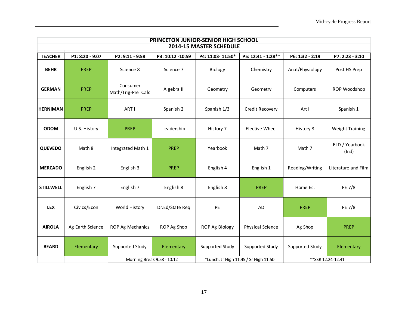|                  | PRINCETON JUNIOR-SENIOR HIGH SCHOOL |                                |                  |                  |                                       |                 |                         |  |  |
|------------------|-------------------------------------|--------------------------------|------------------|------------------|---------------------------------------|-----------------|-------------------------|--|--|
|                  | 2014-15 MASTER SCHEDULE             |                                |                  |                  |                                       |                 |                         |  |  |
| <b>TEACHER</b>   | P1: 8:20 - 9:07                     | P2: 9:11 - 9:58                | P3: 10:12 -10:59 | P4: 11:03-11:50* | P5: 12:41 - 1:28**                    | P6: 1:32 - 2:19 | P7: 2:23 - 3:10         |  |  |
| <b>BEHR</b>      | <b>PREP</b>                         | Science 8                      | Science 7        | Biology          | Chemistry                             | Anat/Physiology | Post HS Prep            |  |  |
| <b>GERMAN</b>    | <b>PREP</b>                         | Consumer<br>Math/Trig-Pre Calc | Algebra II       | Geometry         | Geometry                              | Computers       | ROP Woodshop            |  |  |
| <b>HERNIMAN</b>  | <b>PREP</b>                         | ART I                          | Spanish 2        | Spanish 1/3      | Credit Recovery                       | Art I           | Spanish 1               |  |  |
| <b>ODOM</b>      | U.S. History                        | <b>PREP</b>                    | Leadership       | History 7        | <b>Elective Wheel</b>                 | History 8       | <b>Weight Training</b>  |  |  |
| <b>QUEVEDO</b>   | Math 8                              | Integrated Math 1              | <b>PREP</b>      | Yearbook         | Math 7                                | Math 7          | ELD / Yearbook<br>(Ind) |  |  |
| <b>MERCADO</b>   | English 2                           | English 3                      | <b>PREP</b>      | English 4        | English 1                             | Reading/Writing | Literature and Film     |  |  |
| <b>STILLWELL</b> | English 7                           | English 7                      | English 8        | English 8        | <b>PREP</b>                           | Home Ec.        | PE 7/8                  |  |  |
| <b>LEX</b>       | Civics/Econ                         | World History                  | Dr.Ed/State Req  | PE               | <b>AD</b>                             | <b>PREP</b>     | PE 7/8                  |  |  |
| <b>AIROLA</b>    | Ag Earth Science                    | ROP Ag Mechanics               | ROP Ag Shop      | ROP Ag Biology   | Physical Science                      | Ag Shop         | <b>PREP</b>             |  |  |
| <b>BEARD</b>     | Elementary                          | Supported Study                | Elementary       | Supported Study  | Supported Study                       | Supported Study | Elementary              |  |  |
|                  |                                     | Morning Break 9:58 - 10:12     |                  |                  | *Lunch: Jr High 11:45 / Sr High 11:50 |                 | ** SSR 12:24-12:41      |  |  |